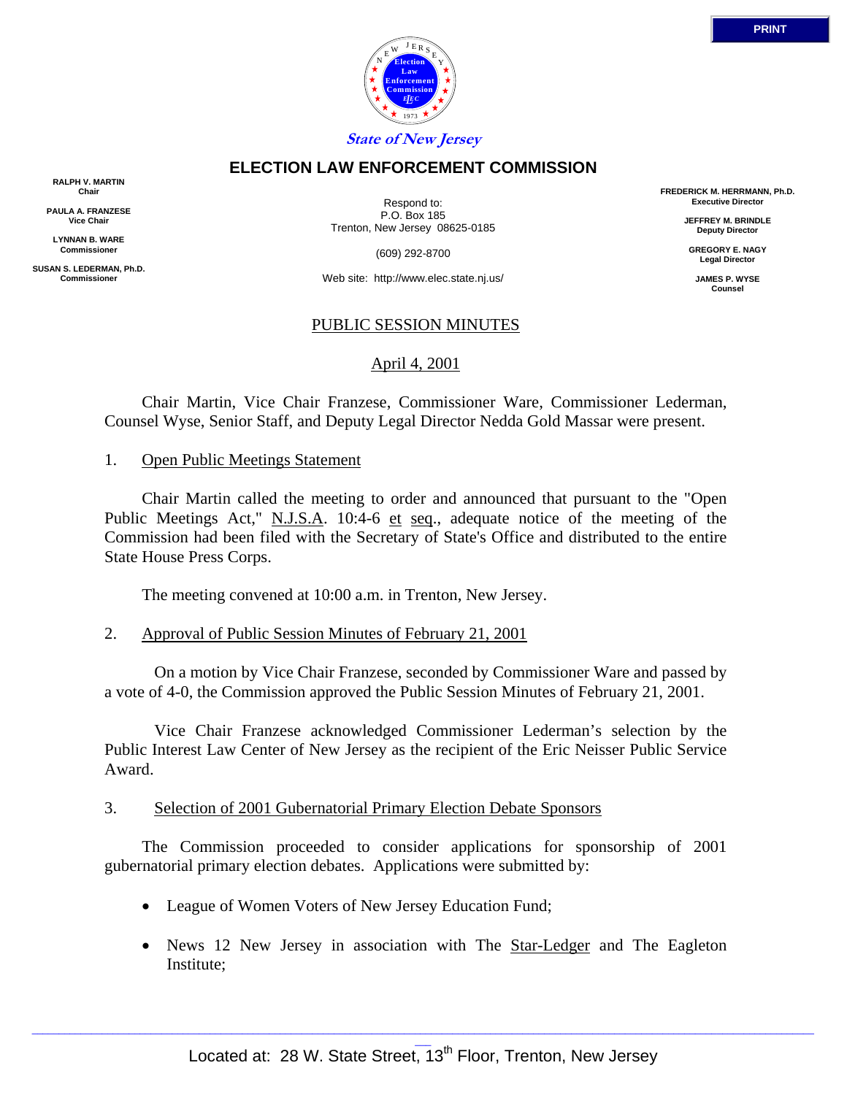

### **ELECTION LAW ENFORCEMENT COMMISSION**

**RALPH V. MARTIN Chair**

**PAULA A. FRANZESE Vice Chair**

**LYNNAN B. WARE Commissioner**

**SUSAN S. LEDERMAN, Ph.D. Commissioner**

Respond to: P.O. Box 185 Trenton, New Jersey 08625-0185

(609) 292-8700

Web site: http://www.elec.state.nj.us/

### PUBLIC SESSION MINUTES

April 4, 2001

 Chair Martin, Vice Chair Franzese, Commissioner Ware, Commissioner Lederman, Counsel Wyse, Senior Staff, and Deputy Legal Director Nedda Gold Massar were present.

### 1. Open Public Meetings Statement

 Chair Martin called the meeting to order and announced that pursuant to the "Open Public Meetings Act," N.J.S.A. 10:4-6 et seq., adequate notice of the meeting of the Commission had been filed with the Secretary of State's Office and distributed to the entire State House Press Corps.

The meeting convened at 10:00 a.m. in Trenton, New Jersey.

2. Approval of Public Session Minutes of February 21, 2001

 On a motion by Vice Chair Franzese, seconded by Commissioner Ware and passed by a vote of 4-0, the Commission approved the Public Session Minutes of February 21, 2001.

 Vice Chair Franzese acknowledged Commissioner Lederman's selection by the Public Interest Law Center of New Jersey as the recipient of the Eric Neisser Public Service Award.

### 3. Selection of 2001 Gubernatorial Primary Election Debate Sponsors

 The Commission proceeded to consider applications for sponsorship of 2001 gubernatorial primary election debates. Applications were submitted by:

- League of Women Voters of New Jersey Education Fund;
- News 12 New Jersey in association with The Star-Ledger and The Eagleton Institute;

**PRINT**

**FREDERICK M. HERRMANN, Ph.D. Executive Director JEFFREY M. BRINDLE Deputy Director GREGORY E. NAGY Legal Director JAMES P. WYSE Counsel**

 $\_$  ,  $\_$  ,  $\_$  ,  $\_$  ,  $\_$  ,  $\_$  ,  $\_$  ,  $\_$  ,  $\_$  ,  $\_$  ,  $\_$  ,  $\_$  ,  $\_$  ,  $\_$  ,  $\_$  ,  $\_$  ,  $\_$  ,  $\_$  ,  $\_$  ,  $\_$  ,  $\_$  ,  $\_$  ,  $\_$  ,  $\_$  ,  $\_$  ,  $\_$  ,  $\_$  ,  $\_$  ,  $\_$  ,  $\_$  ,  $\_$  ,  $\_$  ,  $\_$  ,  $\_$  ,  $\_$  ,  $\_$  ,  $\_$  ,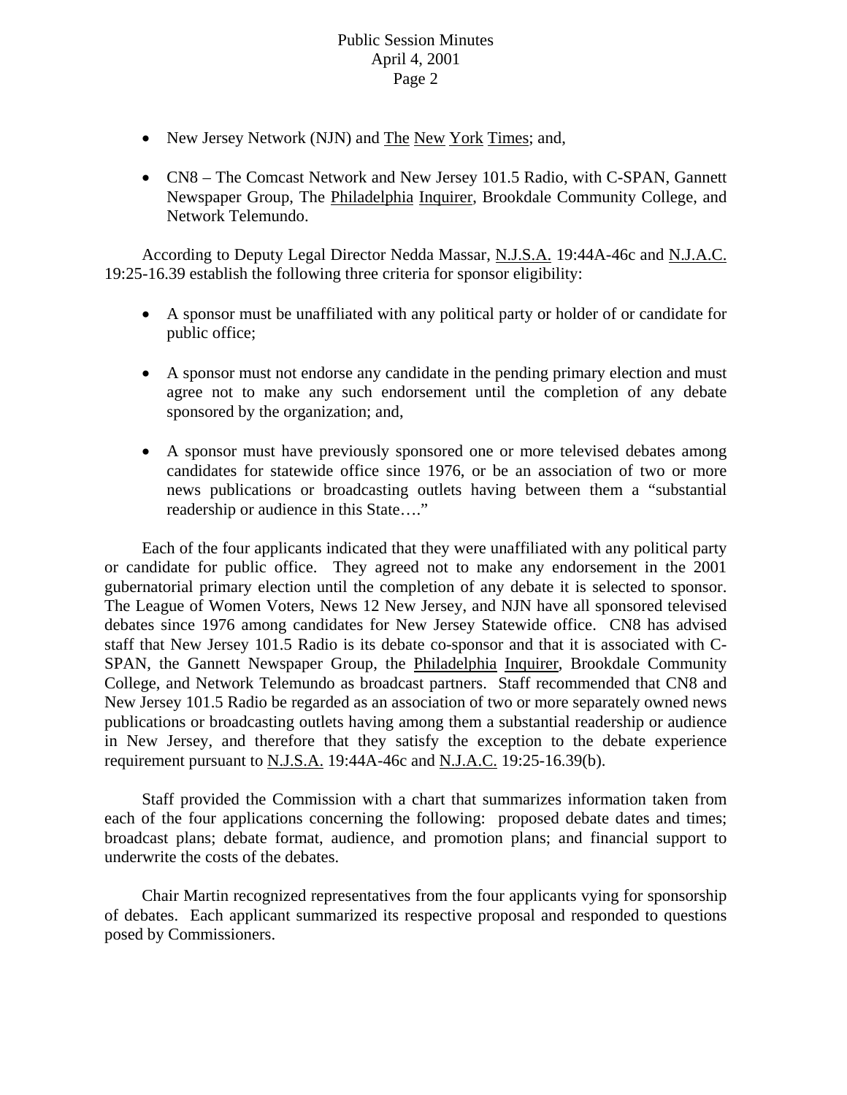- New Jersey Network (NJN) and The New York Times; and,
- CN8 The Comcast Network and New Jersey 101.5 Radio, with C-SPAN, Gannett Newspaper Group, The Philadelphia Inquirer, Brookdale Community College, and Network Telemundo.

According to Deputy Legal Director Nedda Massar, N.J.S.A. 19:44A-46c and N.J.A.C. 19:25-16.39 establish the following three criteria for sponsor eligibility:

- A sponsor must be unaffiliated with any political party or holder of or candidate for public office;
- A sponsor must not endorse any candidate in the pending primary election and must agree not to make any such endorsement until the completion of any debate sponsored by the organization; and,
- A sponsor must have previously sponsored one or more televised debates among candidates for statewide office since 1976, or be an association of two or more news publications or broadcasting outlets having between them a "substantial readership or audience in this State…."

 Each of the four applicants indicated that they were unaffiliated with any political party or candidate for public office. They agreed not to make any endorsement in the 2001 gubernatorial primary election until the completion of any debate it is selected to sponsor. The League of Women Voters, News 12 New Jersey, and NJN have all sponsored televised debates since 1976 among candidates for New Jersey Statewide office. CN8 has advised staff that New Jersey 101.5 Radio is its debate co-sponsor and that it is associated with C-SPAN, the Gannett Newspaper Group, the Philadelphia Inquirer, Brookdale Community College, and Network Telemundo as broadcast partners. Staff recommended that CN8 and New Jersey 101.5 Radio be regarded as an association of two or more separately owned news publications or broadcasting outlets having among them a substantial readership or audience in New Jersey, and therefore that they satisfy the exception to the debate experience requirement pursuant to N.J.S.A. 19:44A-46c and N.J.A.C. 19:25-16.39(b).

 Staff provided the Commission with a chart that summarizes information taken from each of the four applications concerning the following: proposed debate dates and times; broadcast plans; debate format, audience, and promotion plans; and financial support to underwrite the costs of the debates.

 Chair Martin recognized representatives from the four applicants vying for sponsorship of debates. Each applicant summarized its respective proposal and responded to questions posed by Commissioners.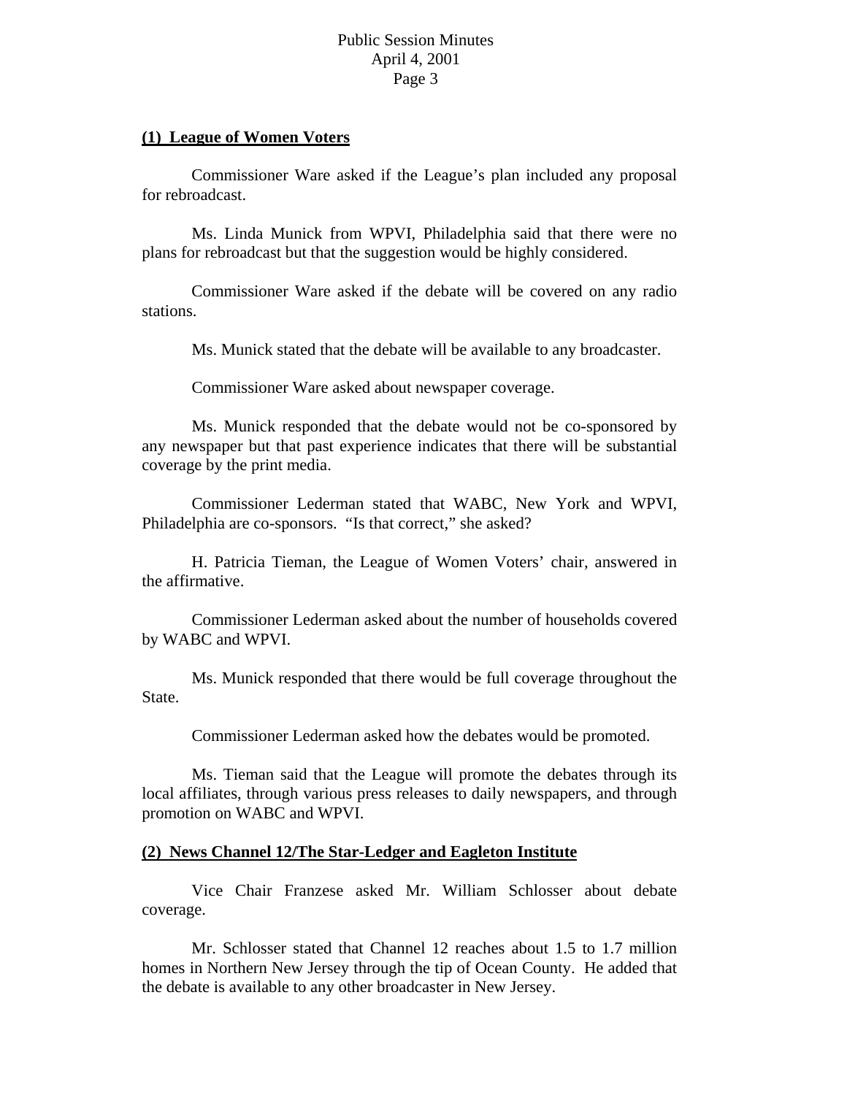### **(1) League of Women Voters**

 Commissioner Ware asked if the League's plan included any proposal for rebroadcast.

 Ms. Linda Munick from WPVI, Philadelphia said that there were no plans for rebroadcast but that the suggestion would be highly considered.

 Commissioner Ware asked if the debate will be covered on any radio stations.

Ms. Munick stated that the debate will be available to any broadcaster.

Commissioner Ware asked about newspaper coverage.

 Ms. Munick responded that the debate would not be co-sponsored by any newspaper but that past experience indicates that there will be substantial coverage by the print media.

 Commissioner Lederman stated that WABC, New York and WPVI, Philadelphia are co-sponsors. "Is that correct," she asked?

 H. Patricia Tieman, the League of Women Voters' chair, answered in the affirmative.

 Commissioner Lederman asked about the number of households covered by WABC and WPVI.

 Ms. Munick responded that there would be full coverage throughout the State.

Commissioner Lederman asked how the debates would be promoted.

 Ms. Tieman said that the League will promote the debates through its local affiliates, through various press releases to daily newspapers, and through promotion on WABC and WPVI.

## **(2) News Channel 12/The Star-Ledger and Eagleton Institute**

 Vice Chair Franzese asked Mr. William Schlosser about debate coverage.

 Mr. Schlosser stated that Channel 12 reaches about 1.5 to 1.7 million homes in Northern New Jersey through the tip of Ocean County. He added that the debate is available to any other broadcaster in New Jersey.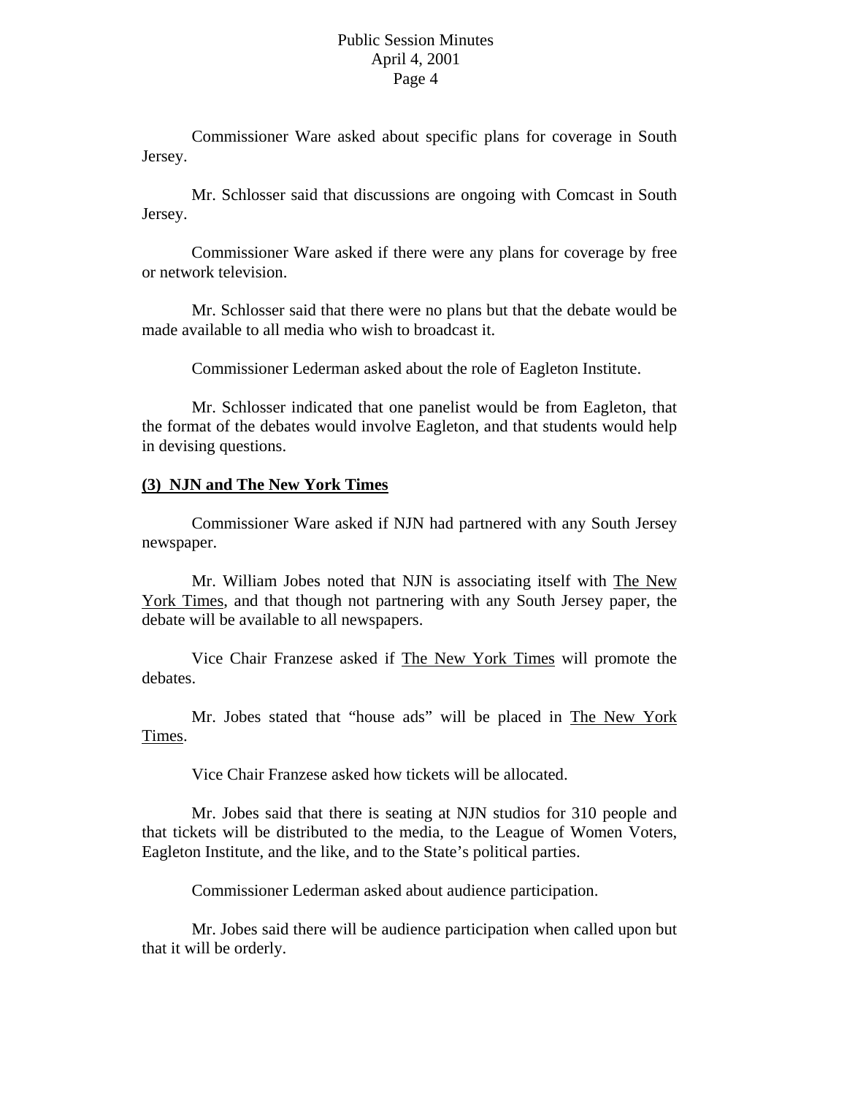Commissioner Ware asked about specific plans for coverage in South Jersey.

 Mr. Schlosser said that discussions are ongoing with Comcast in South Jersey.

 Commissioner Ware asked if there were any plans for coverage by free or network television.

 Mr. Schlosser said that there were no plans but that the debate would be made available to all media who wish to broadcast it.

Commissioner Lederman asked about the role of Eagleton Institute.

 Mr. Schlosser indicated that one panelist would be from Eagleton, that the format of the debates would involve Eagleton, and that students would help in devising questions.

### **(3) NJN and The New York Times**

 Commissioner Ware asked if NJN had partnered with any South Jersey newspaper.

 Mr. William Jobes noted that NJN is associating itself with The New York Times, and that though not partnering with any South Jersey paper, the debate will be available to all newspapers.

 Vice Chair Franzese asked if The New York Times will promote the debates.

 Mr. Jobes stated that "house ads" will be placed in The New York Times.

Vice Chair Franzese asked how tickets will be allocated.

 Mr. Jobes said that there is seating at NJN studios for 310 people and that tickets will be distributed to the media, to the League of Women Voters, Eagleton Institute, and the like, and to the State's political parties.

Commissioner Lederman asked about audience participation.

 Mr. Jobes said there will be audience participation when called upon but that it will be orderly.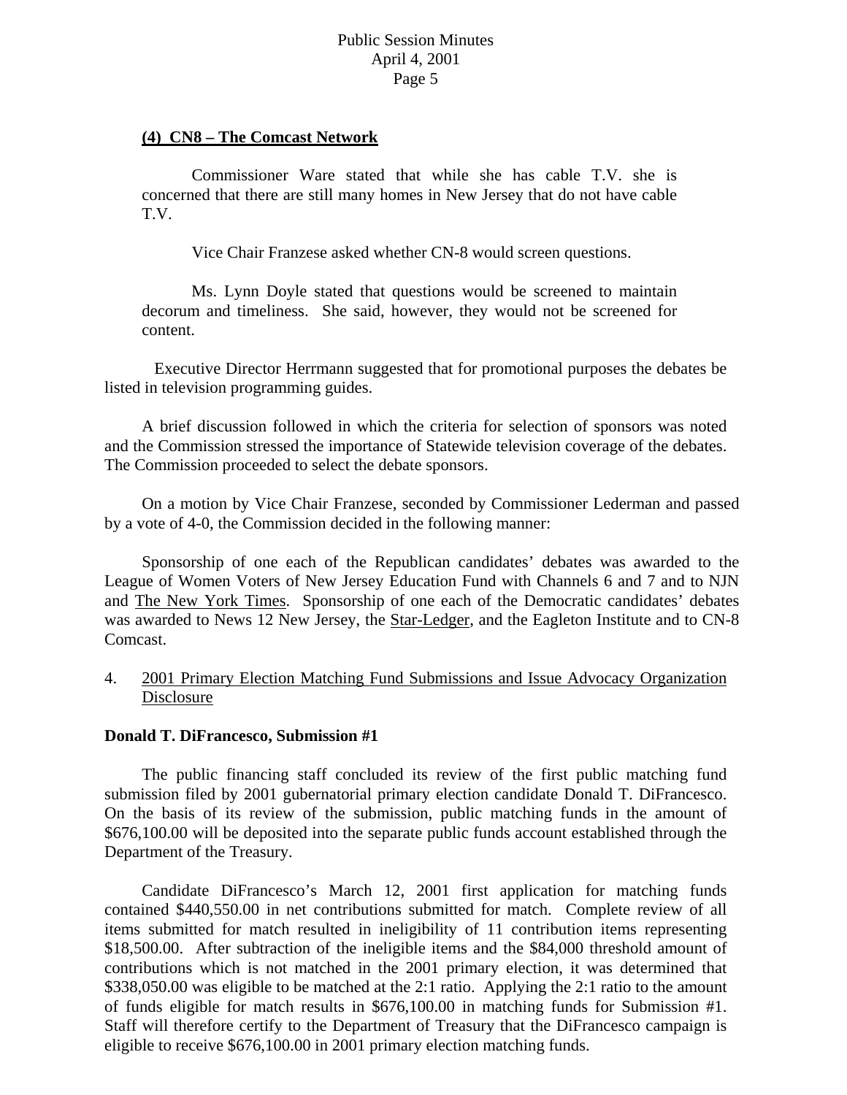### **(4) CN8 – The Comcast Network**

 Commissioner Ware stated that while she has cable T.V. she is concerned that there are still many homes in New Jersey that do not have cable T.V.

Vice Chair Franzese asked whether CN-8 would screen questions.

 Ms. Lynn Doyle stated that questions would be screened to maintain decorum and timeliness. She said, however, they would not be screened for content.

 Executive Director Herrmann suggested that for promotional purposes the debates be listed in television programming guides.

 A brief discussion followed in which the criteria for selection of sponsors was noted and the Commission stressed the importance of Statewide television coverage of the debates. The Commission proceeded to select the debate sponsors.

 On a motion by Vice Chair Franzese, seconded by Commissioner Lederman and passed by a vote of 4-0, the Commission decided in the following manner:

 Sponsorship of one each of the Republican candidates' debates was awarded to the League of Women Voters of New Jersey Education Fund with Channels 6 and 7 and to NJN and The New York Times. Sponsorship of one each of the Democratic candidates' debates was awarded to News 12 New Jersey, the Star-Ledger, and the Eagleton Institute and to CN-8 Comcast.

# 4. 2001 Primary Election Matching Fund Submissions and Issue Advocacy Organization Disclosure

### **Donald T. DiFrancesco, Submission #1**

 The public financing staff concluded its review of the first public matching fund submission filed by 2001 gubernatorial primary election candidate Donald T. DiFrancesco. On the basis of its review of the submission, public matching funds in the amount of \$676,100.00 will be deposited into the separate public funds account established through the Department of the Treasury.

 Candidate DiFrancesco's March 12, 2001 first application for matching funds contained \$440,550.00 in net contributions submitted for match. Complete review of all items submitted for match resulted in ineligibility of 11 contribution items representing \$18,500.00. After subtraction of the ineligible items and the \$84,000 threshold amount of contributions which is not matched in the 2001 primary election, it was determined that \$338,050.00 was eligible to be matched at the 2:1 ratio. Applying the 2:1 ratio to the amount of funds eligible for match results in \$676,100.00 in matching funds for Submission #1. Staff will therefore certify to the Department of Treasury that the DiFrancesco campaign is eligible to receive \$676,100.00 in 2001 primary election matching funds.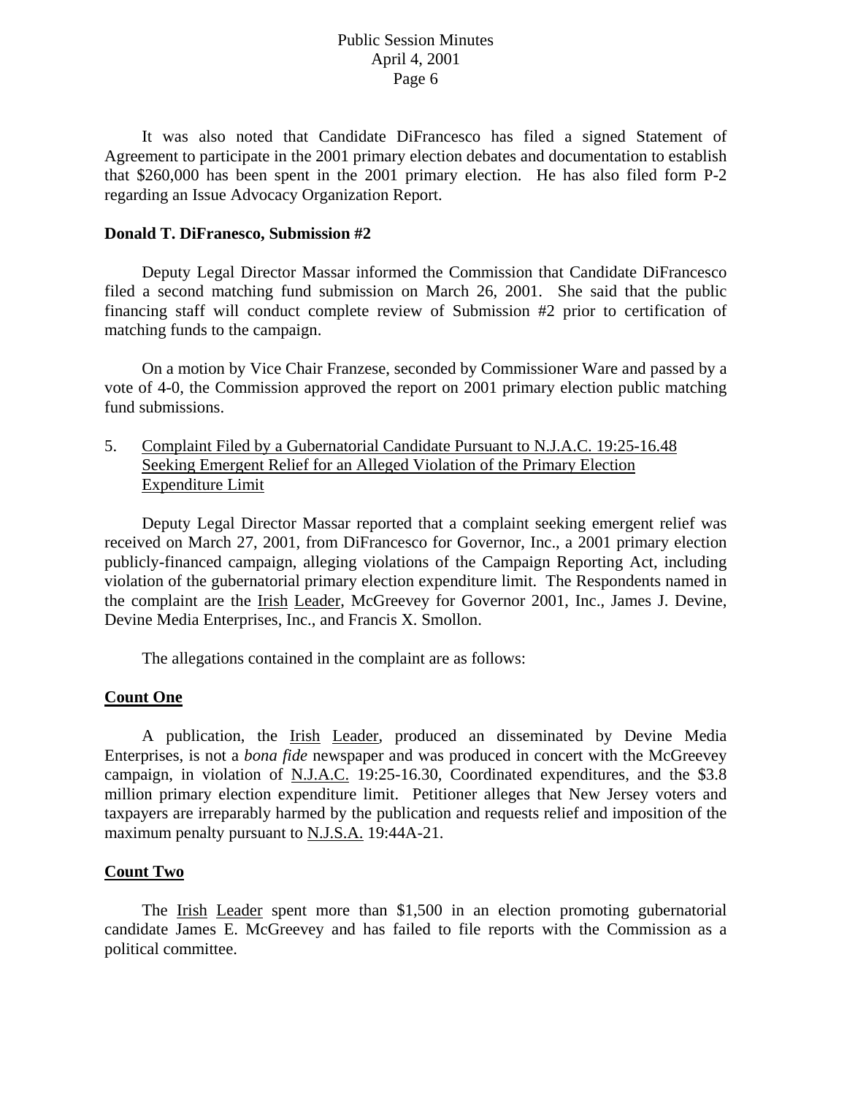It was also noted that Candidate DiFrancesco has filed a signed Statement of Agreement to participate in the 2001 primary election debates and documentation to establish that \$260,000 has been spent in the 2001 primary election. He has also filed form P-2 regarding an Issue Advocacy Organization Report.

### **Donald T. DiFranesco, Submission #2**

 Deputy Legal Director Massar informed the Commission that Candidate DiFrancesco filed a second matching fund submission on March 26, 2001. She said that the public financing staff will conduct complete review of Submission #2 prior to certification of matching funds to the campaign.

 On a motion by Vice Chair Franzese, seconded by Commissioner Ware and passed by a vote of 4-0, the Commission approved the report on 2001 primary election public matching fund submissions.

5. Complaint Filed by a Gubernatorial Candidate Pursuant to N.J.A.C. 19:25-16.48 Seeking Emergent Relief for an Alleged Violation of the Primary Election Expenditure Limit

 Deputy Legal Director Massar reported that a complaint seeking emergent relief was received on March 27, 2001, from DiFrancesco for Governor, Inc., a 2001 primary election publicly-financed campaign, alleging violations of the Campaign Reporting Act, including violation of the gubernatorial primary election expenditure limit. The Respondents named in the complaint are the Irish Leader, McGreevey for Governor 2001, Inc., James J. Devine, Devine Media Enterprises, Inc., and Francis X. Smollon.

The allegations contained in the complaint are as follows:

## **Count One**

 A publication, the Irish Leader, produced an disseminated by Devine Media Enterprises, is not a *bona fide* newspaper and was produced in concert with the McGreevey campaign, in violation of N.J.A.C. 19:25-16.30, Coordinated expenditures, and the \$3.8 million primary election expenditure limit. Petitioner alleges that New Jersey voters and taxpayers are irreparably harmed by the publication and requests relief and imposition of the maximum penalty pursuant to N.J.S.A. 19:44A-21.

### **Count Two**

The <u>Irish Leader</u> spent more than \$1,500 in an election promoting gubernatorial candidate James E. McGreevey and has failed to file reports with the Commission as a political committee.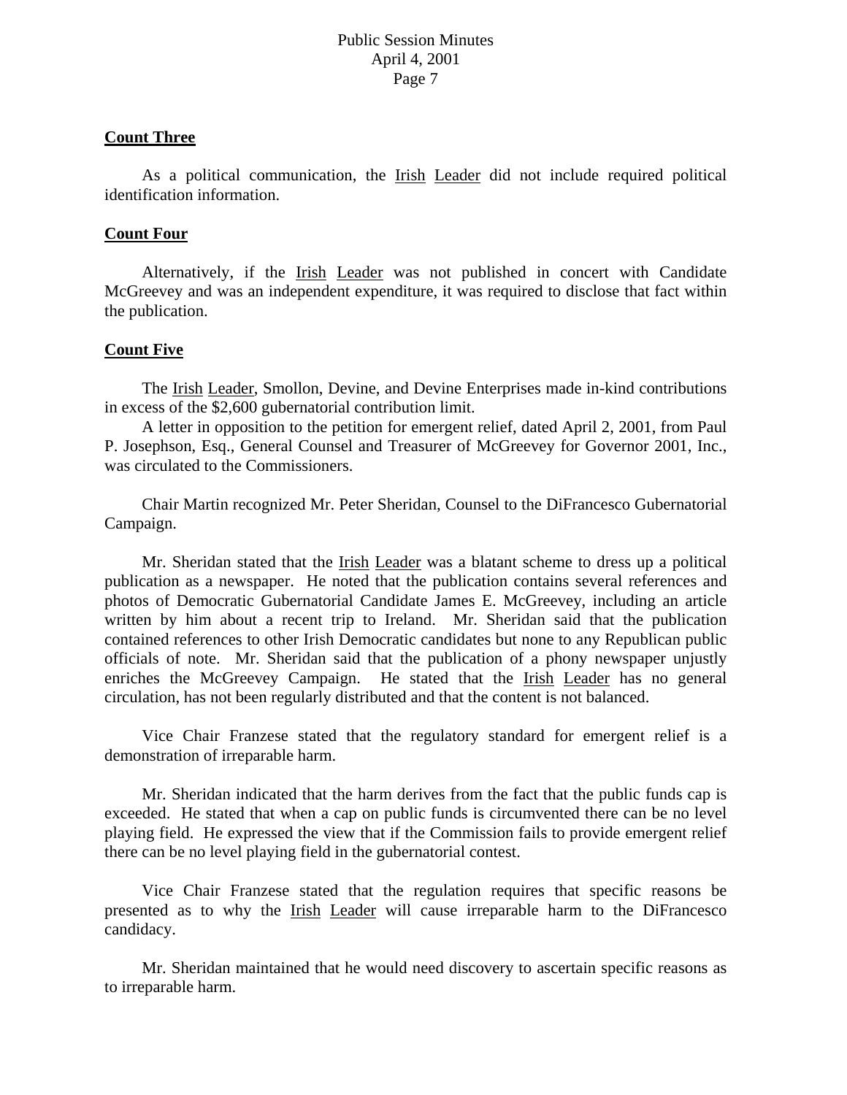### **Count Three**

 As a political communication, the Irish Leader did not include required political identification information.

#### **Count Four**

 Alternatively, if the Irish Leader was not published in concert with Candidate McGreevey and was an independent expenditure, it was required to disclose that fact within the publication.

### **Count Five**

 The Irish Leader, Smollon, Devine, and Devine Enterprises made in-kind contributions in excess of the \$2,600 gubernatorial contribution limit.

 A letter in opposition to the petition for emergent relief, dated April 2, 2001, from Paul P. Josephson, Esq., General Counsel and Treasurer of McGreevey for Governor 2001, Inc., was circulated to the Commissioners.

 Chair Martin recognized Mr. Peter Sheridan, Counsel to the DiFrancesco Gubernatorial Campaign.

Mr. Sheridan stated that the **Irish Leader** was a blatant scheme to dress up a political publication as a newspaper. He noted that the publication contains several references and photos of Democratic Gubernatorial Candidate James E. McGreevey, including an article written by him about a recent trip to Ireland. Mr. Sheridan said that the publication contained references to other Irish Democratic candidates but none to any Republican public officials of note. Mr. Sheridan said that the publication of a phony newspaper unjustly enriches the McGreevey Campaign. He stated that the Irish Leader has no general circulation, has not been regularly distributed and that the content is not balanced.

 Vice Chair Franzese stated that the regulatory standard for emergent relief is a demonstration of irreparable harm.

 Mr. Sheridan indicated that the harm derives from the fact that the public funds cap is exceeded. He stated that when a cap on public funds is circumvented there can be no level playing field. He expressed the view that if the Commission fails to provide emergent relief there can be no level playing field in the gubernatorial contest.

 Vice Chair Franzese stated that the regulation requires that specific reasons be presented as to why the Irish Leader will cause irreparable harm to the DiFrancesco candidacy.

 Mr. Sheridan maintained that he would need discovery to ascertain specific reasons as to irreparable harm.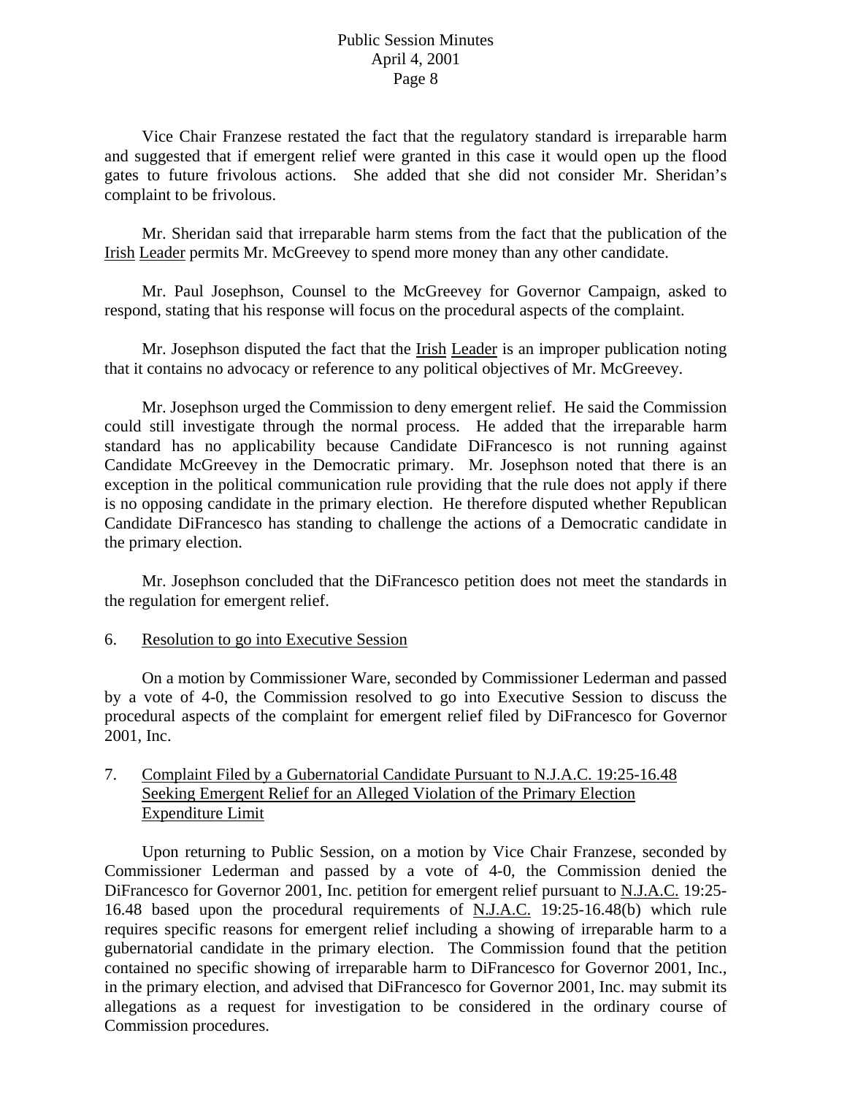Vice Chair Franzese restated the fact that the regulatory standard is irreparable harm and suggested that if emergent relief were granted in this case it would open up the flood gates to future frivolous actions. She added that she did not consider Mr. Sheridan's complaint to be frivolous.

 Mr. Sheridan said that irreparable harm stems from the fact that the publication of the Irish Leader permits Mr. McGreevey to spend more money than any other candidate.

 Mr. Paul Josephson, Counsel to the McGreevey for Governor Campaign, asked to respond, stating that his response will focus on the procedural aspects of the complaint.

Mr. Josephson disputed the fact that the <u>Irish Leader</u> is an improper publication noting that it contains no advocacy or reference to any political objectives of Mr. McGreevey.

 Mr. Josephson urged the Commission to deny emergent relief. He said the Commission could still investigate through the normal process. He added that the irreparable harm standard has no applicability because Candidate DiFrancesco is not running against Candidate McGreevey in the Democratic primary. Mr. Josephson noted that there is an exception in the political communication rule providing that the rule does not apply if there is no opposing candidate in the primary election. He therefore disputed whether Republican Candidate DiFrancesco has standing to challenge the actions of a Democratic candidate in the primary election.

 Mr. Josephson concluded that the DiFrancesco petition does not meet the standards in the regulation for emergent relief.

### 6. Resolution to go into Executive Session

 On a motion by Commissioner Ware, seconded by Commissioner Lederman and passed by a vote of 4-0, the Commission resolved to go into Executive Session to discuss the procedural aspects of the complaint for emergent relief filed by DiFrancesco for Governor 2001, Inc.

# 7. Complaint Filed by a Gubernatorial Candidate Pursuant to N.J.A.C. 19:25-16.48 Seeking Emergent Relief for an Alleged Violation of the Primary Election Expenditure Limit

 Upon returning to Public Session, on a motion by Vice Chair Franzese, seconded by Commissioner Lederman and passed by a vote of 4-0, the Commission denied the DiFrancesco for Governor 2001, Inc. petition for emergent relief pursuant to N.J.A.C. 19:25- 16.48 based upon the procedural requirements of N.J.A.C. 19:25-16.48(b) which rule requires specific reasons for emergent relief including a showing of irreparable harm to a gubernatorial candidate in the primary election. The Commission found that the petition contained no specific showing of irreparable harm to DiFrancesco for Governor 2001, Inc., in the primary election, and advised that DiFrancesco for Governor 2001, Inc. may submit its allegations as a request for investigation to be considered in the ordinary course of Commission procedures.